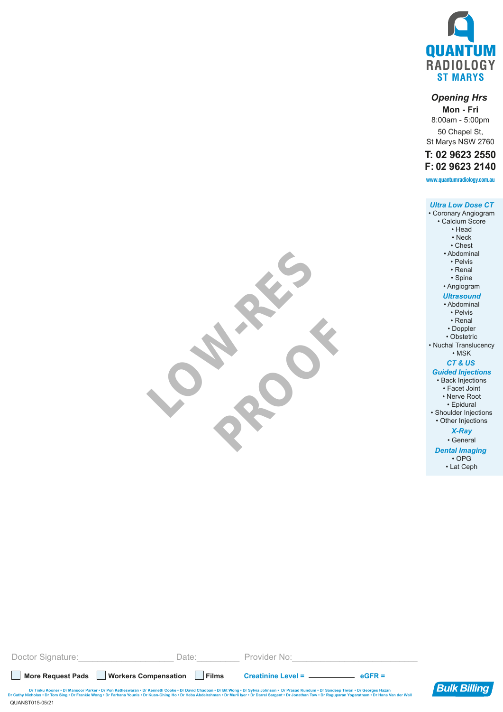

# *Opening Hrs*

**Mon - Fri** 8:00am - 5:00pm 50 Chapel St, St Marys NSW 2760

# **T: 02 9623 2550 F: 02 9623 2140**

**www.quantumradiology.com.au**

#### *Ultra Low Dose CT* • Coronary Angiogram • Calcium Score • Head • Neck • Chest • Abdominal • Pelvis • Renal • Spine • Angiogram *Ultrasound* • Abdominal • Pelvis • Renal • Doppler • Obstetric • Nuchal Translucency • MSK *CT & US Guided Injections* • Back Injections • Facet Joint • Nerve Root • Epidural • Shoulder Injections • Other Injections

*X-Ray*

• General *Dental Imaging* 

• OPG • Lat Ceph

| Doctor Signature:<br>Date:                                                                                                                                                                                                                                                                                                                                                                                                             |              | Provider No: |                    |                     |
|----------------------------------------------------------------------------------------------------------------------------------------------------------------------------------------------------------------------------------------------------------------------------------------------------------------------------------------------------------------------------------------------------------------------------------------|--------------|--------------|--------------------|---------------------|
| <b>Workers Compensation</b><br><b>More Request Pads</b>                                                                                                                                                                                                                                                                                                                                                                                | <b>Films</b> | $Create =$   | $\mathbf{e}$ GFR = |                     |
| Dr Tinku Kooner • Dr Mansoor Parker • Dr Pon Ketheswaran • Dr Kenneth Cooke • Dr David Chadban • Dr Bit Wong • Dr Sylvia Johnson • Dr Prasad Kundum • Dr Sandeep Tiwari • Dr Georges Hazan<br>Dr Cathy Nicholas . Dr Tom Sing . Dr Frankie Wong . Dr Farhana Younis . Dr Kuan-Ching Ho . Dr Heba Abdelrahman . Dr Murli Iyer . Dr Darrel Sargent . Dr Jonathan Tow . Dr Raguparan Yogaratnam . Dr Hans Van der Wall<br>QUANST015-05/21 |              |              |                    | <b>Bulk Billing</b> |